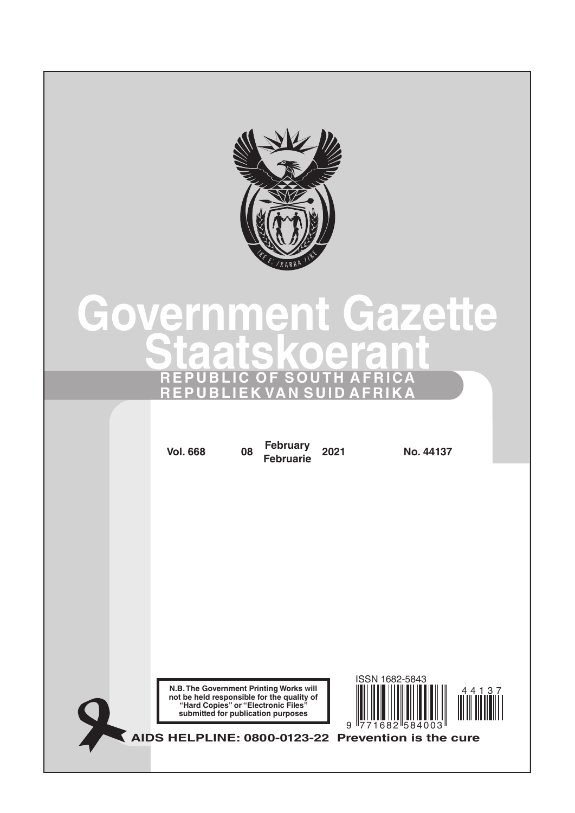

# **Government Gazette Staatskoerant REPUBLIC OF SOUTH AFRICA REPUBLIEK VAN SUID AFRIKA**

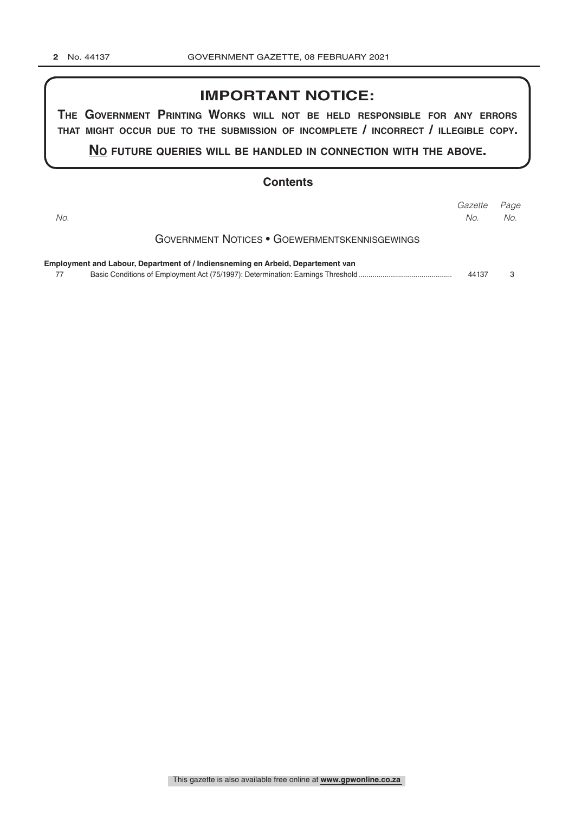## **IMPORTANT NOTICE:**

**The GovernmenT PrinTinG Works Will noT be held resPonsible for any errors ThaT miGhT occur due To The submission of incomPleTe / incorrecT / illeGible coPy.**

**no fuTure queries Will be handled in connecTion WiTh The above.**

## **Contents**

| No.                                                                             | Gazette<br>No. | Page<br>No. |
|---------------------------------------------------------------------------------|----------------|-------------|
| <b>GOVERNMENT NOTICES • GOEWERMENTSKENNISGEWINGS</b>                            |                |             |
| Employment and Labour, Department of / Indiensneming en Arbeid, Departement van | 44137          | 3           |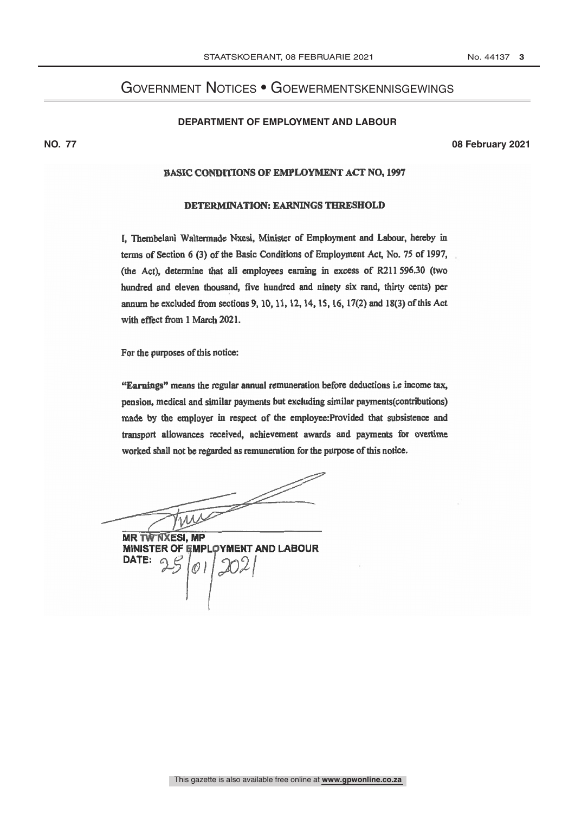## <span id="page-2-0"></span>Government Notices • Goewermentskennisgewings

#### **Department of Employment and Labour**

**NO. 77 08 February 2021**

## BASIC CONDITIONS OF EMPLOYMENT ACT NO, 1997

### DETERMINATION: EARNINGS THRESHOLD

I, Thembelani Waltermade Nxesi, Minister of Employment and Labour, hereby in terms of Section 6 (3) of the Basic Conditions of Employment Act, No. 75 of 1997, (the Act), determine that all employees earning in excess of 8211 596.30 (two hundred and eleven thousand, five hundred and ninety six rand, thirty cents) per annum be excluded from sections 9, 10, 11, 12, 14, 15, 16, 17(2) and 18(3) of this Act with effect from 1 March 2021.

For the purposes of this notice:

"Earnings" means the regular annual remuneration before deductions i.e income tax, pension, medical and similar payments but excluding similar payments(contributions) made by the employer in respect of the employee:Provided that subsistence and transport allowances received, achievement awards and payments for overtime worked shall not be regarded as remuneration for the purpose of this notice.

- fl Tres

**MR TW'NXESI, MP** MINISTER OF EMPLOYMENT AND LABOUR DATE:  $\emptyset$